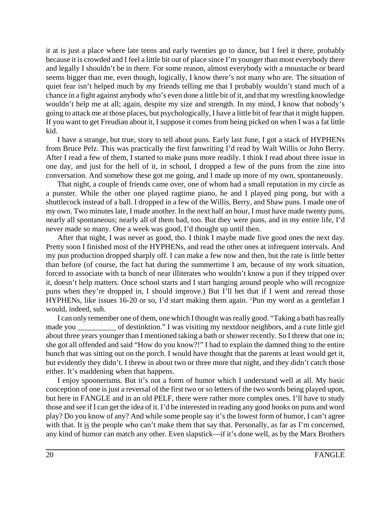it at is just a place where late teens and early twenties go to dance, but I feel it there, probably because it is crowded and I feel a little bit out of place since I'm younger than most everybody there and legally I shouldn't be in there. For some reason, almost everybody with a moustache or beard seems bigger than me, even though, logically, I know there's not many who are. The situation of quiet fear isn't helped much by my friends telling me that I probably wouldn't stand much of a chance in a fight against anybody who's even done a little bit of it, and that my wrestling knowledge wouldn't help me at all; again, despite my size and strength. In my mind, I know that nobody's going to attack me at those places, but psychologically, I have a little bit of fear that it might happen. If you want to get Freudian about it, I suppose it comes from being picked on when I was a fat little kid.

I have a strange, but true, story to tell about puns. Early last June, I got a stack of HYPHENs from Bruce Pelz. This was practically the first fanwriting I'd read by Walt Willis or John Berry. After I read a few of them, I started to make puns more readily. I think I read about three issue in one day, and just for the hell of it, in school, I dropped a few of the puns from the zine into conversation. And somehow these got me going, and I made up more of my own, spontaneously.

That night, a couple of friends came over, one of whom had a small reputation in my circle as a punster. While the other one played ragtime piano, he and I played ping pong, but with a shuttlecock instead of a ball. I dropped in a few of the Willis, Berry, and Shaw puns. I made one of my own. Two minutes late, I made another. In the next half an hour, I must have made twenty puns, nearly all spontaneous; nearly all of them bad, too. But they were puns, and in my entire life, I'd never made so many. One a week was good, I'd thought up until then.

After that night, I was never as good, tho. I think I maybe made five good ones the next day. Pretty soon I finished most of the HYPHENs, and read the other ones at infrequent intervals. And my pun production dropped sharply off. I can make a few now and then, but the rate is little better than before (of course, the fact hat during the summertime I am, because of my work situation, forced to associate with ta bunch of near illiterates who wouldn't know a pun if they tripped over it, doesn't help matters. Once school starts and I start hanging around people who will recognize puns when they're dropped in, I should improve.) But I'll bet that if I went and reread those HYPHENs, like issues 16-20 or so, I'd start making them again. 'Pun my word as a gentlefan I would, indeed, suh.

I can only remember one of them, one which I thought was really good. "Taking a bath has really made you of destinktion." I was visiting my nextdoor neighbors, and a cute little girl about three years younger than I mentioned taking a bath or shower recently. So I threw that one in; she got all offended and said "How do you know?!" I had to explain the damned thing to the entire bunch that was sitting out on the porch. I would have thought that the parents at least would get it, but evidently they didn't. I threw in about two or three more that night, and they didn't catch those either. It's maddening when that happens.

I enjoy spoonerisms. But it's not a form of humor which I understand well at all. My basic conception of one is just a reversal of the first two or so letters of the two words being played upon, but here in FANGLE and in an old PELF, there were rather more complex ones. I'll have to study those and see if I can get the idea of it. I'd be interested in reading any good books on puns and word play? Do you know of any? And while some people say it's the lowest form of humor, I can't agree with that. It is the people who can't make them that say that. Personally, as far as I'm concerned, any kind of humor can match any other. Even slapstick—if it's done well, as by the Marx Brothers